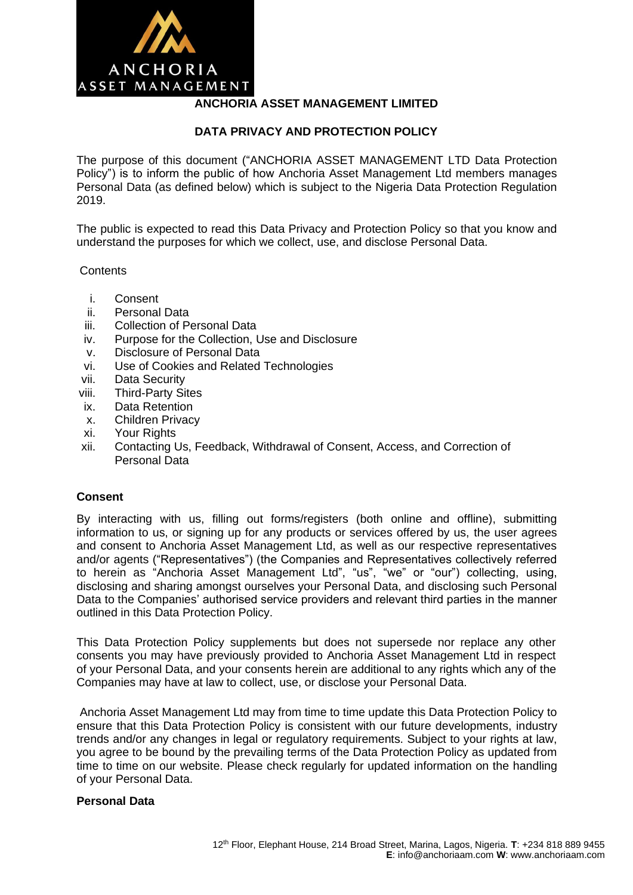

# **ANCHORIA ASSET MANAGEMENT LIMITED**

### **DATA PRIVACY AND PROTECTION POLICY**

The purpose of this document ("ANCHORIA ASSET MANAGEMENT LTD Data Protection Policy") is to inform the public of how Anchoria Asset Management Ltd members manages Personal Data (as defined below) which is subject to the Nigeria Data Protection Regulation 2019.

The public is expected to read this Data Privacy and Protection Policy so that you know and understand the purposes for which we collect, use, and disclose Personal Data.

#### **Contents**

- i. Consent
- ii. Personal Data
- iii. Collection of Personal Data
- iv. Purpose for the Collection, Use and Disclosure
- v. Disclosure of Personal Data
- vi. Use of Cookies and Related Technologies
- vii. Data Security
- viii. Third-Party Sites
- ix. Data Retention
- x. Children Privacy
- xi. Your Rights
- xii. Contacting Us, Feedback, Withdrawal of Consent, Access, and Correction of Personal Data

#### **Consent**

By interacting with us, filling out forms/registers (both online and offline), submitting information to us, or signing up for any products or services offered by us, the user agrees and consent to Anchoria Asset Management Ltd, as well as our respective representatives and/or agents ("Representatives") (the Companies and Representatives collectively referred to herein as "Anchoria Asset Management Ltd", "us", "we" or "our") collecting, using, disclosing and sharing amongst ourselves your Personal Data, and disclosing such Personal Data to the Companies' authorised service providers and relevant third parties in the manner outlined in this Data Protection Policy.

This Data Protection Policy supplements but does not supersede nor replace any other consents you may have previously provided to Anchoria Asset Management Ltd in respect of your Personal Data, and your consents herein are additional to any rights which any of the Companies may have at law to collect, use, or disclose your Personal Data.

Anchoria Asset Management Ltd may from time to time update this Data Protection Policy to ensure that this Data Protection Policy is consistent with our future developments, industry trends and/or any changes in legal or regulatory requirements. Subject to your rights at law, you agree to be bound by the prevailing terms of the Data Protection Policy as updated from time to time on our website. Please check regularly for updated information on the handling of your Personal Data.

#### **Personal Data**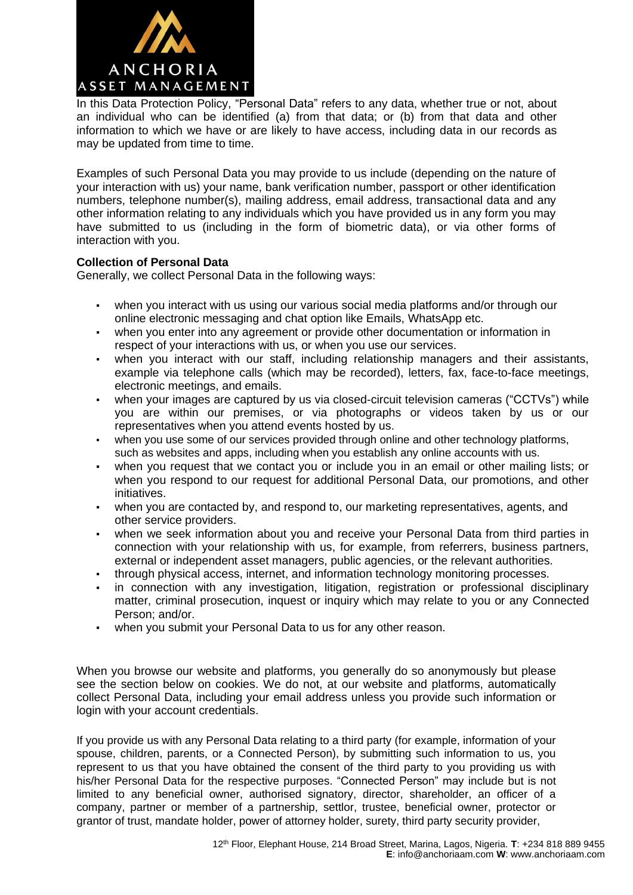

In this Data Protection Policy, "Personal Data" refers to any data, whether true or not, about an individual who can be identified (a) from that data; or (b) from that data and other information to which we have or are likely to have access, including data in our records as may be updated from time to time.

Examples of such Personal Data you may provide to us include (depending on the nature of your interaction with us) your name, bank verification number, passport or other identification numbers, telephone number(s), mailing address, email address, transactional data and any other information relating to any individuals which you have provided us in any form you may have submitted to us (including in the form of biometric data), or via other forms of interaction with you.

#### **Collection of Personal Data**

Generally, we collect Personal Data in the following ways:

- when you interact with us using our various social media platforms and/or through our online electronic messaging and chat option like Emails, WhatsApp etc.
- when you enter into any agreement or provide other documentation or information in respect of your interactions with us, or when you use our services.
- when you interact with our staff, including relationship managers and their assistants, example via telephone calls (which may be recorded), letters, fax, face-to-face meetings, electronic meetings, and emails.
- when your images are captured by us via closed-circuit television cameras ("CCTVs") while you are within our premises, or via photographs or videos taken by us or our representatives when you attend events hosted by us.
- when you use some of our services provided through online and other technology platforms, such as websites and apps, including when you establish any online accounts with us.
- when you request that we contact you or include you in an email or other mailing lists; or when you respond to our request for additional Personal Data, our promotions, and other initiatives.
- when you are contacted by, and respond to, our marketing representatives, agents, and other service providers.
- when we seek information about you and receive your Personal Data from third parties in connection with your relationship with us, for example, from referrers, business partners, external or independent asset managers, public agencies, or the relevant authorities.
- through physical access, internet, and information technology monitoring processes.
- in connection with any investigation, litigation, registration or professional disciplinary matter, criminal prosecution, inquest or inquiry which may relate to you or any Connected Person; and/or.
- when you submit your Personal Data to us for any other reason.

When you browse our website and platforms, you generally do so anonymously but please see the section below on cookies. We do not, at our website and platforms, automatically collect Personal Data, including your email address unless you provide such information or login with your account credentials.

If you provide us with any Personal Data relating to a third party (for example, information of your spouse, children, parents, or a Connected Person), by submitting such information to us, you represent to us that you have obtained the consent of the third party to you providing us with his/her Personal Data for the respective purposes. "Connected Person" may include but is not limited to any beneficial owner, authorised signatory, director, shareholder, an officer of a company, partner or member of a partnership, settlor, trustee, beneficial owner, protector or grantor of trust, mandate holder, power of attorney holder, surety, third party security provider,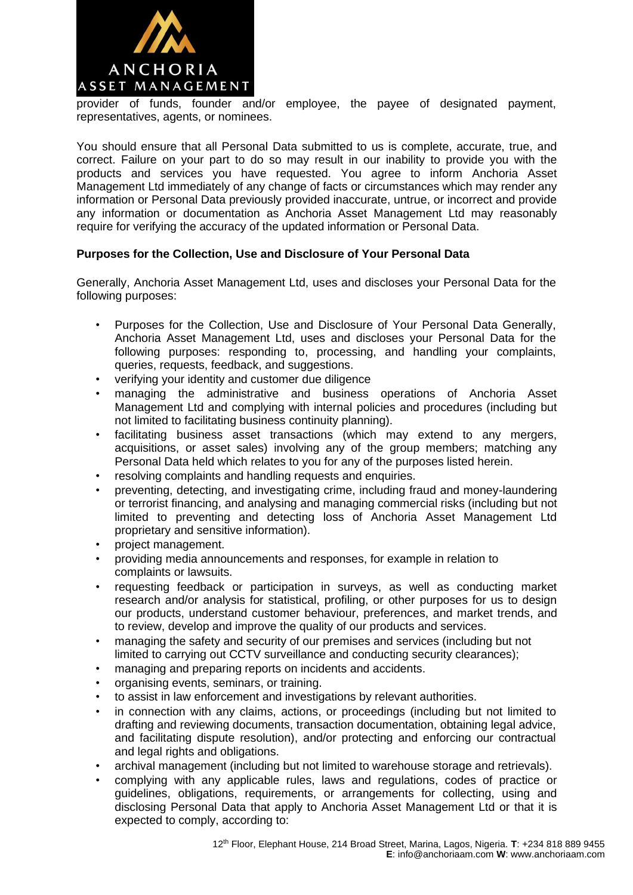

provider of funds, founder and/or employee, the payee of designated payment, representatives, agents, or nominees.

You should ensure that all Personal Data submitted to us is complete, accurate, true, and correct. Failure on your part to do so may result in our inability to provide you with the products and services you have requested. You agree to inform Anchoria Asset Management Ltd immediately of any change of facts or circumstances which may render any information or Personal Data previously provided inaccurate, untrue, or incorrect and provide any information or documentation as Anchoria Asset Management Ltd may reasonably require for verifying the accuracy of the updated information or Personal Data.

# **Purposes for the Collection, Use and Disclosure of Your Personal Data**

Generally, Anchoria Asset Management Ltd, uses and discloses your Personal Data for the following purposes:

- Purposes for the Collection, Use and Disclosure of Your Personal Data Generally, Anchoria Asset Management Ltd, uses and discloses your Personal Data for the following purposes: responding to, processing, and handling your complaints, queries, requests, feedback, and suggestions.
- verifying your identity and customer due diligence
- managing the administrative and business operations of Anchoria Asset Management Ltd and complying with internal policies and procedures (including but not limited to facilitating business continuity planning).
- facilitating business asset transactions (which may extend to any mergers, acquisitions, or asset sales) involving any of the group members; matching any Personal Data held which relates to you for any of the purposes listed herein.
- resolving complaints and handling requests and enquiries.
- preventing, detecting, and investigating crime, including fraud and money-laundering or terrorist financing, and analysing and managing commercial risks (including but not limited to preventing and detecting loss of Anchoria Asset Management Ltd proprietary and sensitive information).
- project management.
- providing media announcements and responses, for example in relation to complaints or lawsuits.
- requesting feedback or participation in surveys, as well as conducting market research and/or analysis for statistical, profiling, or other purposes for us to design our products, understand customer behaviour, preferences, and market trends, and to review, develop and improve the quality of our products and services.
- managing the safety and security of our premises and services (including but not limited to carrying out CCTV surveillance and conducting security clearances);
- managing and preparing reports on incidents and accidents.
- organising events, seminars, or training.
- to assist in law enforcement and investigations by relevant authorities.
- in connection with any claims, actions, or proceedings (including but not limited to drafting and reviewing documents, transaction documentation, obtaining legal advice, and facilitating dispute resolution), and/or protecting and enforcing our contractual and legal rights and obligations.
- archival management (including but not limited to warehouse storage and retrievals).
- complying with any applicable rules, laws and regulations, codes of practice or guidelines, obligations, requirements, or arrangements for collecting, using and disclosing Personal Data that apply to Anchoria Asset Management Ltd or that it is expected to comply, according to: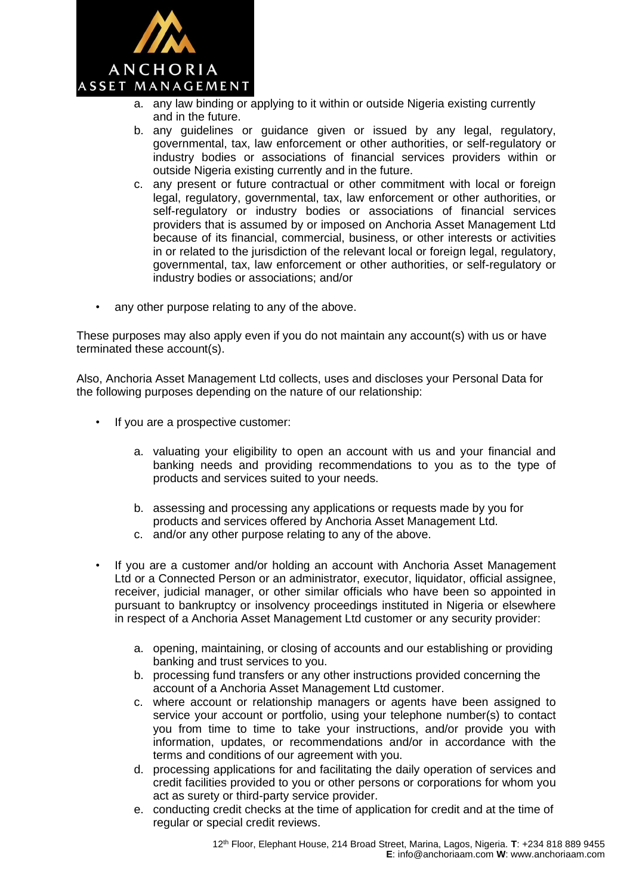

- a. any law binding or applying to it within or outside Nigeria existing currently and in the future.
- b. any guidelines or guidance given or issued by any legal, regulatory, governmental, tax, law enforcement or other authorities, or self-regulatory or industry bodies or associations of financial services providers within or outside Nigeria existing currently and in the future.
- c. any present or future contractual or other commitment with local or foreign legal, regulatory, governmental, tax, law enforcement or other authorities, or self-regulatory or industry bodies or associations of financial services providers that is assumed by or imposed on Anchoria Asset Management Ltd because of its financial, commercial, business, or other interests or activities in or related to the jurisdiction of the relevant local or foreign legal, regulatory, governmental, tax, law enforcement or other authorities, or self-regulatory or industry bodies or associations; and/or
- any other purpose relating to any of the above.

These purposes may also apply even if you do not maintain any account(s) with us or have terminated these account(s).

Also, Anchoria Asset Management Ltd collects, uses and discloses your Personal Data for the following purposes depending on the nature of our relationship:

- If you are a prospective customer:
	- a. valuating your eligibility to open an account with us and your financial and banking needs and providing recommendations to you as to the type of products and services suited to your needs.
	- b. assessing and processing any applications or requests made by you for products and services offered by Anchoria Asset Management Ltd.
	- c. and/or any other purpose relating to any of the above.
- If you are a customer and/or holding an account with Anchoria Asset Management Ltd or a Connected Person or an administrator, executor, liquidator, official assignee, receiver, judicial manager, or other similar officials who have been so appointed in pursuant to bankruptcy or insolvency proceedings instituted in Nigeria or elsewhere in respect of a Anchoria Asset Management Ltd customer or any security provider:
	- a. opening, maintaining, or closing of accounts and our establishing or providing banking and trust services to you.
	- b. processing fund transfers or any other instructions provided concerning the account of a Anchoria Asset Management Ltd customer.
	- c. where account or relationship managers or agents have been assigned to service your account or portfolio, using your telephone number(s) to contact you from time to time to take your instructions, and/or provide you with information, updates, or recommendations and/or in accordance with the terms and conditions of our agreement with you.
	- d. processing applications for and facilitating the daily operation of services and credit facilities provided to you or other persons or corporations for whom you act as surety or third-party service provider.
	- e. conducting credit checks at the time of application for credit and at the time of regular or special credit reviews.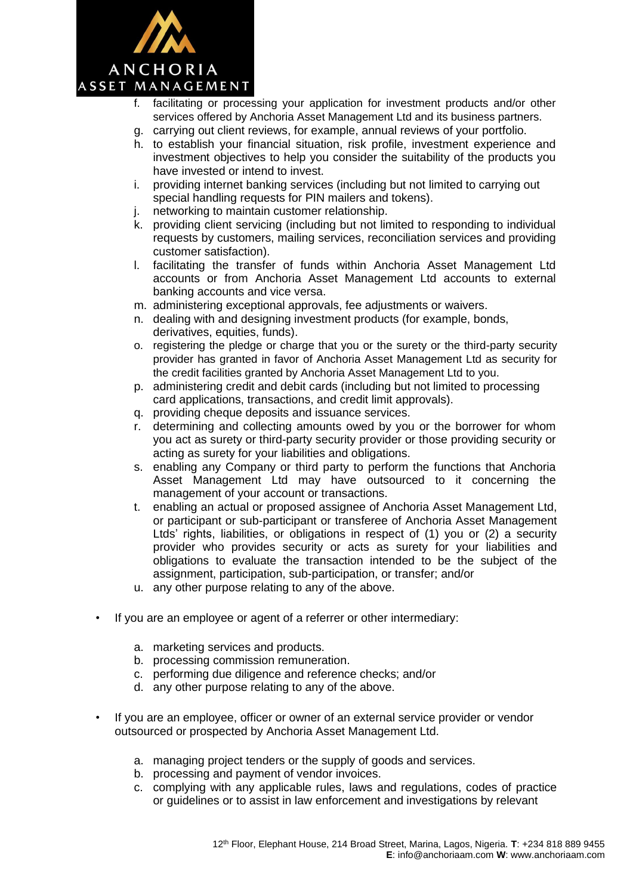

- f. facilitating or processing your application for investment products and/or other services offered by Anchoria Asset Management Ltd and its business partners.
- g. carrying out client reviews, for example, annual reviews of your portfolio.
- h. to establish your financial situation, risk profile, investment experience and investment objectives to help you consider the suitability of the products you have invested or intend to invest.
- i. providing internet banking services (including but not limited to carrying out special handling requests for PIN mailers and tokens).
- j. networking to maintain customer relationship.
- k. providing client servicing (including but not limited to responding to individual requests by customers, mailing services, reconciliation services and providing customer satisfaction).
- l. facilitating the transfer of funds within Anchoria Asset Management Ltd accounts or from Anchoria Asset Management Ltd accounts to external banking accounts and vice versa.
- m. administering exceptional approvals, fee adjustments or waivers.
- n. dealing with and designing investment products (for example, bonds, derivatives, equities, funds).
- o. registering the pledge or charge that you or the surety or the third-party security provider has granted in favor of Anchoria Asset Management Ltd as security for the credit facilities granted by Anchoria Asset Management Ltd to you.
- p. administering credit and debit cards (including but not limited to processing card applications, transactions, and credit limit approvals).
- q. providing cheque deposits and issuance services.
- r. determining and collecting amounts owed by you or the borrower for whom you act as surety or third-party security provider or those providing security or acting as surety for your liabilities and obligations.
- s. enabling any Company or third party to perform the functions that Anchoria Asset Management Ltd may have outsourced to it concerning the management of your account or transactions.
- t. enabling an actual or proposed assignee of Anchoria Asset Management Ltd, or participant or sub-participant or transferee of Anchoria Asset Management Ltds' rights, liabilities, or obligations in respect of (1) you or (2) a security provider who provides security or acts as surety for your liabilities and obligations to evaluate the transaction intended to be the subject of the assignment, participation, sub-participation, or transfer; and/or
- u. any other purpose relating to any of the above.
- If you are an employee or agent of a referrer or other intermediary:
	- a. marketing services and products.
	- b. processing commission remuneration.
	- c. performing due diligence and reference checks; and/or
	- d. any other purpose relating to any of the above.
- If you are an employee, officer or owner of an external service provider or vendor outsourced or prospected by Anchoria Asset Management Ltd.
	- a. managing project tenders or the supply of goods and services.
	- b. processing and payment of vendor invoices.
	- c. complying with any applicable rules, laws and regulations, codes of practice or guidelines or to assist in law enforcement and investigations by relevant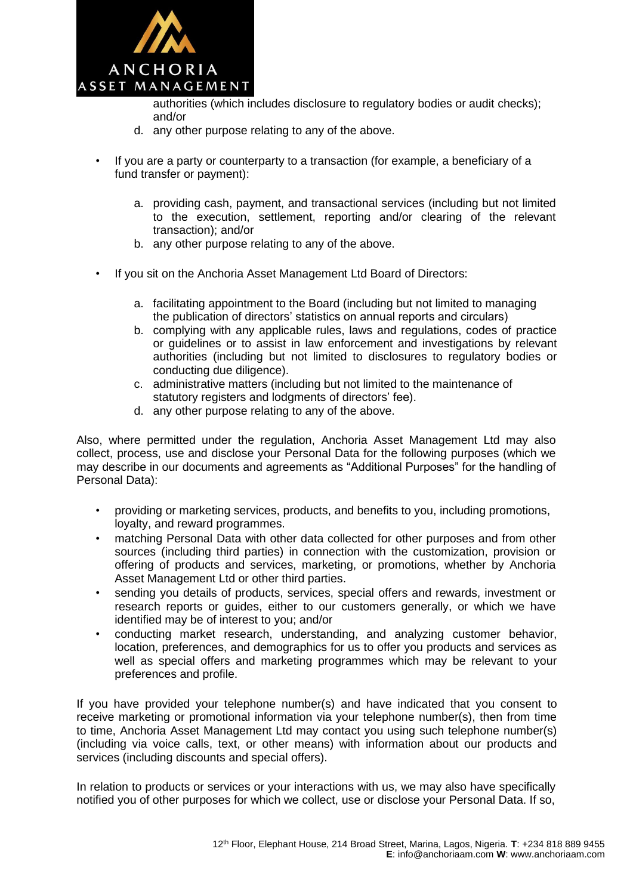

authorities (which includes disclosure to regulatory bodies or audit checks); and/or

- d. any other purpose relating to any of the above.
- If you are a party or counterparty to a transaction (for example, a beneficiary of a fund transfer or payment):
	- a. providing cash, payment, and transactional services (including but not limited to the execution, settlement, reporting and/or clearing of the relevant transaction); and/or
	- b. any other purpose relating to any of the above.
- If you sit on the Anchoria Asset Management Ltd Board of Directors:
	- a. facilitating appointment to the Board (including but not limited to managing the publication of directors' statistics on annual reports and circulars)
	- b. complying with any applicable rules, laws and regulations, codes of practice or guidelines or to assist in law enforcement and investigations by relevant authorities (including but not limited to disclosures to regulatory bodies or conducting due diligence).
	- c. administrative matters (including but not limited to the maintenance of statutory registers and lodgments of directors' fee).
	- d. any other purpose relating to any of the above.

Also, where permitted under the regulation, Anchoria Asset Management Ltd may also collect, process, use and disclose your Personal Data for the following purposes (which we may describe in our documents and agreements as "Additional Purposes" for the handling of Personal Data):

- providing or marketing services, products, and benefits to you, including promotions, loyalty, and reward programmes.
- matching Personal Data with other data collected for other purposes and from other sources (including third parties) in connection with the customization, provision or offering of products and services, marketing, or promotions, whether by Anchoria Asset Management Ltd or other third parties.
- sending you details of products, services, special offers and rewards, investment or research reports or guides, either to our customers generally, or which we have identified may be of interest to you; and/or
- conducting market research, understanding, and analyzing customer behavior, location, preferences, and demographics for us to offer you products and services as well as special offers and marketing programmes which may be relevant to your preferences and profile.

If you have provided your telephone number(s) and have indicated that you consent to receive marketing or promotional information via your telephone number(s), then from time to time, Anchoria Asset Management Ltd may contact you using such telephone number(s) (including via voice calls, text, or other means) with information about our products and services (including discounts and special offers).

In relation to products or services or your interactions with us, we may also have specifically notified you of other purposes for which we collect, use or disclose your Personal Data. If so,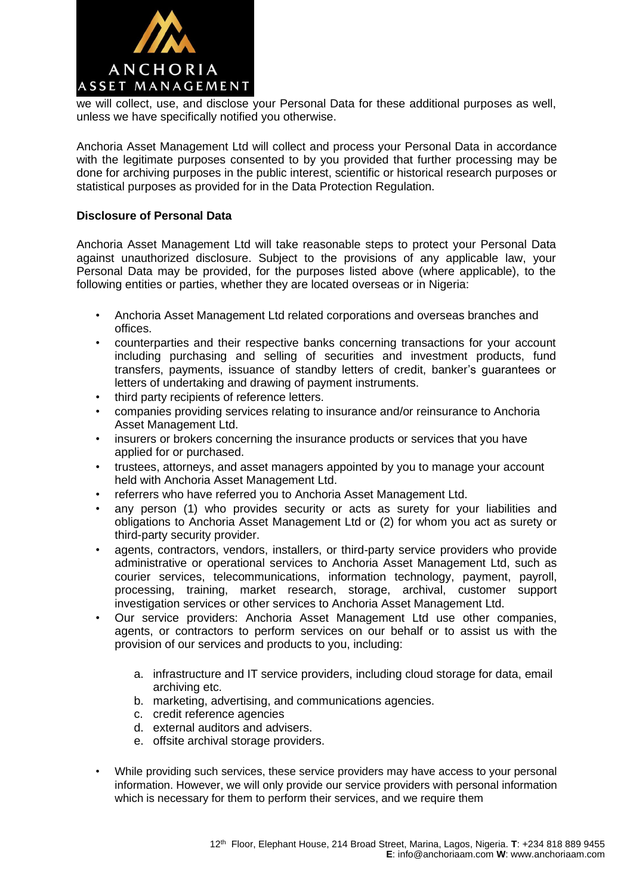

we will collect, use, and disclose your Personal Data for these additional purposes as well, unless we have specifically notified you otherwise.

Anchoria Asset Management Ltd will collect and process your Personal Data in accordance with the legitimate purposes consented to by you provided that further processing may be done for archiving purposes in the public interest, scientific or historical research purposes or statistical purposes as provided for in the Data Protection Regulation.

# **Disclosure of Personal Data**

Anchoria Asset Management Ltd will take reasonable steps to protect your Personal Data against unauthorized disclosure. Subject to the provisions of any applicable law, your Personal Data may be provided, for the purposes listed above (where applicable), to the following entities or parties, whether they are located overseas or in Nigeria:

- Anchoria Asset Management Ltd related corporations and overseas branches and offices.
- counterparties and their respective banks concerning transactions for your account including purchasing and selling of securities and investment products, fund transfers, payments, issuance of standby letters of credit, banker's guarantees or letters of undertaking and drawing of payment instruments.
- third party recipients of reference letters.
- companies providing services relating to insurance and/or reinsurance to Anchoria Asset Management Ltd.
- insurers or brokers concerning the insurance products or services that you have applied for or purchased.
- trustees, attorneys, and asset managers appointed by you to manage your account held with Anchoria Asset Management Ltd.
- referrers who have referred you to Anchoria Asset Management Ltd.
- any person (1) who provides security or acts as surety for your liabilities and obligations to Anchoria Asset Management Ltd or (2) for whom you act as surety or third-party security provider.
- agents, contractors, vendors, installers, or third-party service providers who provide administrative or operational services to Anchoria Asset Management Ltd, such as courier services, telecommunications, information technology, payment, payroll, processing, training, market research, storage, archival, customer support investigation services or other services to Anchoria Asset Management Ltd.
- Our service providers: Anchoria Asset Management Ltd use other companies, agents, or contractors to perform services on our behalf or to assist us with the provision of our services and products to you, including:
	- a. infrastructure and IT service providers, including cloud storage for data, email archiving etc.
	- b. marketing, advertising, and communications agencies.
	- c. credit reference agencies
	- d. external auditors and advisers.
	- e. offsite archival storage providers.
- While providing such services, these service providers may have access to your personal information. However, we will only provide our service providers with personal information which is necessary for them to perform their services, and we require them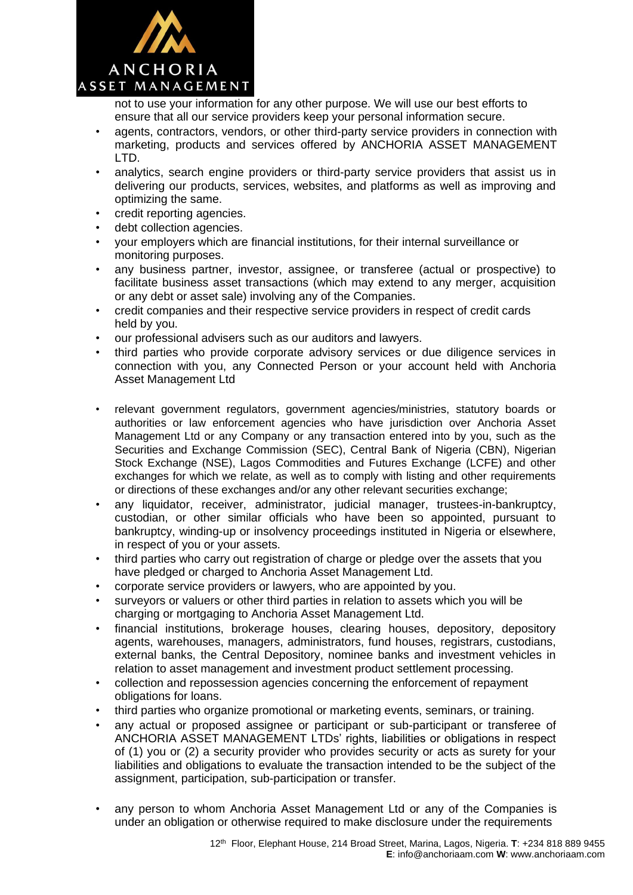

not to use your information for any other purpose. We will use our best efforts to ensure that all our service providers keep your personal information secure.

- agents, contractors, vendors, or other third-party service providers in connection with marketing, products and services offered by ANCHORIA ASSET MANAGEMENT LTD.
- analytics, search engine providers or third-party service providers that assist us in delivering our products, services, websites, and platforms as well as improving and optimizing the same.
- credit reporting agencies.
- debt collection agencies.
- your employers which are financial institutions, for their internal surveillance or monitoring purposes.
- any business partner, investor, assignee, or transferee (actual or prospective) to facilitate business asset transactions (which may extend to any merger, acquisition or any debt or asset sale) involving any of the Companies.
- credit companies and their respective service providers in respect of credit cards held by you.
- our professional advisers such as our auditors and lawyers.
- third parties who provide corporate advisory services or due diligence services in connection with you, any Connected Person or your account held with Anchoria Asset Management Ltd
- relevant government regulators, government agencies/ministries, statutory boards or authorities or law enforcement agencies who have jurisdiction over Anchoria Asset Management Ltd or any Company or any transaction entered into by you, such as the Securities and Exchange Commission (SEC), Central Bank of Nigeria (CBN), Nigerian Stock Exchange (NSE), Lagos Commodities and Futures Exchange (LCFE) and other exchanges for which we relate, as well as to comply with listing and other requirements or directions of these exchanges and/or any other relevant securities exchange;
- any liquidator, receiver, administrator, judicial manager, trustees-in-bankruptcy, custodian, or other similar officials who have been so appointed, pursuant to bankruptcy, winding-up or insolvency proceedings instituted in Nigeria or elsewhere, in respect of you or your assets.
- third parties who carry out registration of charge or pledge over the assets that you have pledged or charged to Anchoria Asset Management Ltd.
- corporate service providers or lawyers, who are appointed by you.
- surveyors or valuers or other third parties in relation to assets which you will be charging or mortgaging to Anchoria Asset Management Ltd.
- financial institutions, brokerage houses, clearing houses, depository, depository agents, warehouses, managers, administrators, fund houses, registrars, custodians, external banks, the Central Depository, nominee banks and investment vehicles in relation to asset management and investment product settlement processing.
- collection and repossession agencies concerning the enforcement of repayment obligations for loans.
- third parties who organize promotional or marketing events, seminars, or training.
- any actual or proposed assignee or participant or sub-participant or transferee of ANCHORIA ASSET MANAGEMENT LTDs' rights, liabilities or obligations in respect of (1) you or (2) a security provider who provides security or acts as surety for your liabilities and obligations to evaluate the transaction intended to be the subject of the assignment, participation, sub-participation or transfer.
- any person to whom Anchoria Asset Management Ltd or any of the Companies is under an obligation or otherwise required to make disclosure under the requirements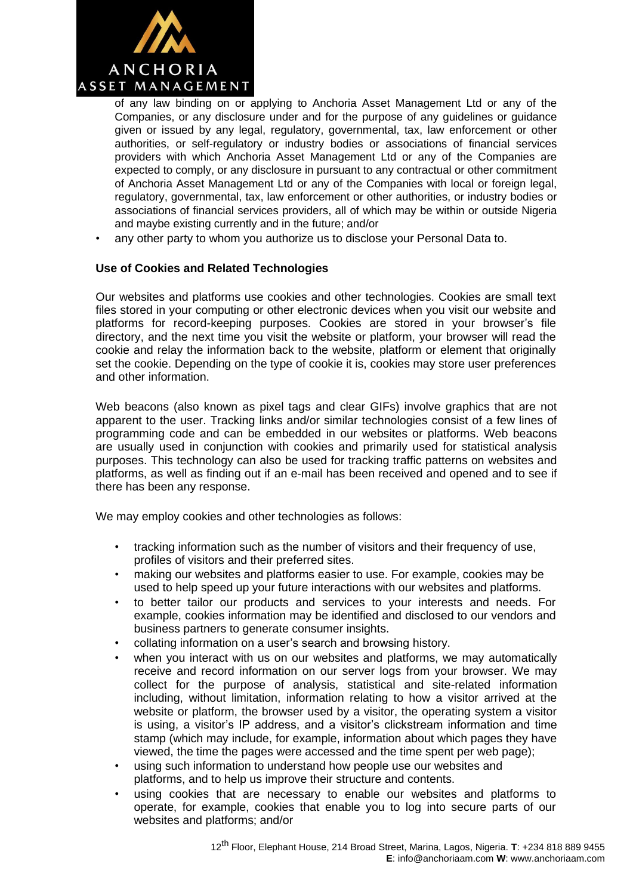

of any law binding on or applying to Anchoria Asset Management Ltd or any of the Companies, or any disclosure under and for the purpose of any guidelines or guidance given or issued by any legal, regulatory, governmental, tax, law enforcement or other authorities, or self-regulatory or industry bodies or associations of financial services providers with which Anchoria Asset Management Ltd or any of the Companies are expected to comply, or any disclosure in pursuant to any contractual or other commitment of Anchoria Asset Management Ltd or any of the Companies with local or foreign legal, regulatory, governmental, tax, law enforcement or other authorities, or industry bodies or associations of financial services providers, all of which may be within or outside Nigeria and maybe existing currently and in the future; and/or

• any other party to whom you authorize us to disclose your Personal Data to.

# **Use of Cookies and Related Technologies**

Our websites and platforms use cookies and other technologies. Cookies are small text files stored in your computing or other electronic devices when you visit our website and platforms for record-keeping purposes. Cookies are stored in your browser's file directory, and the next time you visit the website or platform, your browser will read the cookie and relay the information back to the website, platform or element that originally set the cookie. Depending on the type of cookie it is, cookies may store user preferences and other information.

Web beacons (also known as pixel tags and clear GIFs) involve graphics that are not apparent to the user. Tracking links and/or similar technologies consist of a few lines of programming code and can be embedded in our websites or platforms. Web beacons are usually used in conjunction with cookies and primarily used for statistical analysis purposes. This technology can also be used for tracking traffic patterns on websites and platforms, as well as finding out if an e-mail has been received and opened and to see if there has been any response.

We may employ cookies and other technologies as follows:

- tracking information such as the number of visitors and their frequency of use, profiles of visitors and their preferred sites.
- making our websites and platforms easier to use. For example, cookies may be used to help speed up your future interactions with our websites and platforms.
- to better tailor our products and services to your interests and needs. For example, cookies information may be identified and disclosed to our vendors and business partners to generate consumer insights.
- collating information on a user's search and browsing history.
- when you interact with us on our websites and platforms, we may automatically receive and record information on our server logs from your browser. We may collect for the purpose of analysis, statistical and site-related information including, without limitation, information relating to how a visitor arrived at the website or platform, the browser used by a visitor, the operating system a visitor is using, a visitor's IP address, and a visitor's clickstream information and time stamp (which may include, for example, information about which pages they have viewed, the time the pages were accessed and the time spent per web page);
- using such information to understand how people use our websites and platforms, and to help us improve their structure and contents.
- using cookies that are necessary to enable our websites and platforms to operate, for example, cookies that enable you to log into secure parts of our websites and platforms; and/or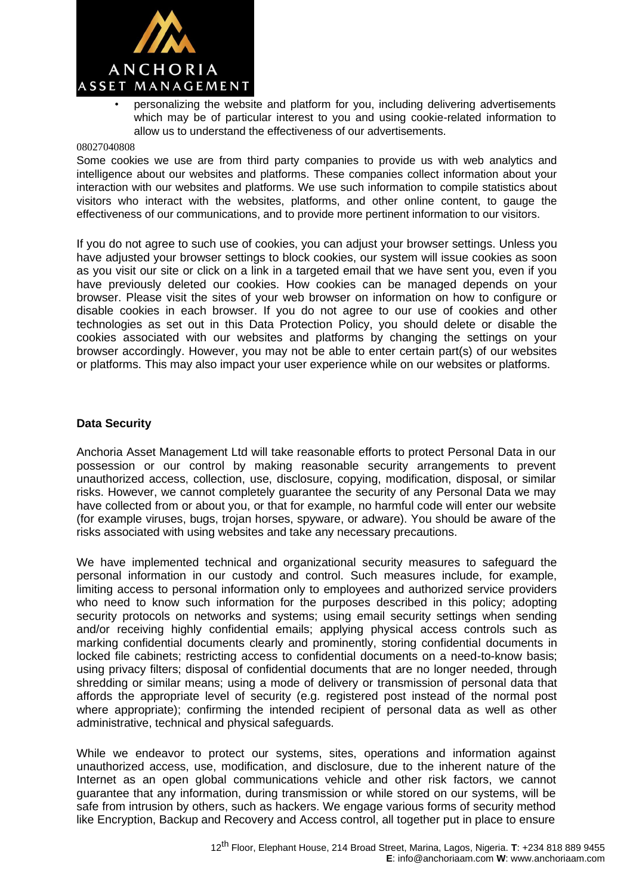

• personalizing the website and platform for you, including delivering advertisements which may be of particular interest to you and using cookie-related information to allow us to understand the effectiveness of our advertisements.

#### 08027040808

Some cookies we use are from third party companies to provide us with web analytics and intelligence about our websites and platforms. These companies collect information about your interaction with our websites and platforms. We use such information to compile statistics about visitors who interact with the websites, platforms, and other online content, to gauge the effectiveness of our communications, and to provide more pertinent information to our visitors.

If you do not agree to such use of cookies, you can adjust your browser settings. Unless you have adjusted your browser settings to block cookies, our system will issue cookies as soon as you visit our site or click on a link in a targeted email that we have sent you, even if you have previously deleted our cookies. How cookies can be managed depends on your browser. Please visit the sites of your web browser on information on how to configure or disable cookies in each browser. If you do not agree to our use of cookies and other technologies as set out in this Data Protection Policy, you should delete or disable the cookies associated with our websites and platforms by changing the settings on your browser accordingly. However, you may not be able to enter certain part(s) of our websites or platforms. This may also impact your user experience while on our websites or platforms.

#### **Data Security**

Anchoria Asset Management Ltd will take reasonable efforts to protect Personal Data in our possession or our control by making reasonable security arrangements to prevent unauthorized access, collection, use, disclosure, copying, modification, disposal, or similar risks. However, we cannot completely guarantee the security of any Personal Data we may have collected from or about you, or that for example, no harmful code will enter our website (for example viruses, bugs, trojan horses, spyware, or adware). You should be aware of the risks associated with using websites and take any necessary precautions.

We have implemented technical and organizational security measures to safeguard the personal information in our custody and control. Such measures include, for example, limiting access to personal information only to employees and authorized service providers who need to know such information for the purposes described in this policy; adopting security protocols on networks and systems; using email security settings when sending and/or receiving highly confidential emails; applying physical access controls such as marking confidential documents clearly and prominently, storing confidential documents in locked file cabinets; restricting access to confidential documents on a need-to-know basis; using privacy filters; disposal of confidential documents that are no longer needed, through shredding or similar means; using a mode of delivery or transmission of personal data that affords the appropriate level of security (e.g. registered post instead of the normal post where appropriate); confirming the intended recipient of personal data as well as other administrative, technical and physical safeguards.

While we endeavor to protect our systems, sites, operations and information against unauthorized access, use, modification, and disclosure, due to the inherent nature of the Internet as an open global communications vehicle and other risk factors, we cannot guarantee that any information, during transmission or while stored on our systems, will be safe from intrusion by others, such as hackers. We engage various forms of security method like Encryption, Backup and Recovery and Access control, all together put in place to ensure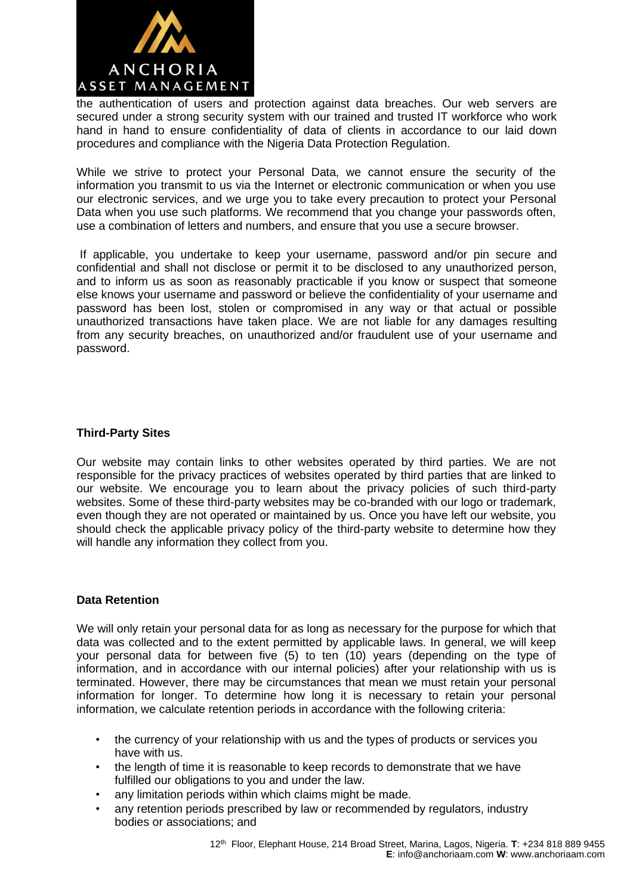

the authentication of users and protection against data breaches. Our web servers are secured under a strong security system with our trained and trusted IT workforce who work hand in hand to ensure confidentiality of data of clients in accordance to our laid down procedures and compliance with the Nigeria Data Protection Regulation.

While we strive to protect your Personal Data, we cannot ensure the security of the information you transmit to us via the Internet or electronic communication or when you use our electronic services, and we urge you to take every precaution to protect your Personal Data when you use such platforms. We recommend that you change your passwords often, use a combination of letters and numbers, and ensure that you use a secure browser.

If applicable, you undertake to keep your username, password and/or pin secure and confidential and shall not disclose or permit it to be disclosed to any unauthorized person, and to inform us as soon as reasonably practicable if you know or suspect that someone else knows your username and password or believe the confidentiality of your username and password has been lost, stolen or compromised in any way or that actual or possible unauthorized transactions have taken place. We are not liable for any damages resulting from any security breaches, on unauthorized and/or fraudulent use of your username and password.

# **Third-Party Sites**

Our website may contain links to other websites operated by third parties. We are not responsible for the privacy practices of websites operated by third parties that are linked to our website. We encourage you to learn about the privacy policies of such third-party websites. Some of these third-party websites may be co-branded with our logo or trademark, even though they are not operated or maintained by us. Once you have left our website, you should check the applicable privacy policy of the third-party website to determine how they will handle any information they collect from you.

#### **Data Retention**

We will only retain your personal data for as long as necessary for the purpose for which that data was collected and to the extent permitted by applicable laws. In general, we will keep your personal data for between five (5) to ten (10) years (depending on the type of information, and in accordance with our internal policies) after your relationship with us is terminated. However, there may be circumstances that mean we must retain your personal information for longer. To determine how long it is necessary to retain your personal information, we calculate retention periods in accordance with the following criteria:

- the currency of your relationship with us and the types of products or services you have with us.
- the length of time it is reasonable to keep records to demonstrate that we have fulfilled our obligations to you and under the law.
- any limitation periods within which claims might be made.
- any retention periods prescribed by law or recommended by regulators, industry bodies or associations; and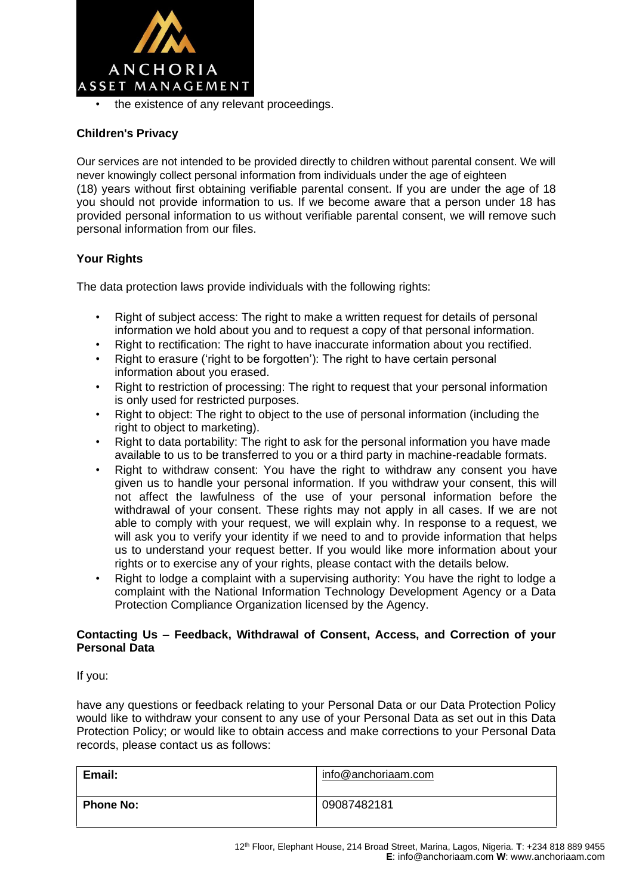

the existence of any relevant proceedings.

# **Children's Privacy**

Our services are not intended to be provided directly to children without parental consent. We will never knowingly collect personal information from individuals under the age of eighteen (18) years without first obtaining verifiable parental consent. If you are under the age of 18 you should not provide information to us. If we become aware that a person under 18 has provided personal information to us without verifiable parental consent, we will remove such personal information from our files.

# **Your Rights**

The data protection laws provide individuals with the following rights:

- Right of subject access: The right to make a written request for details of personal information we hold about you and to request a copy of that personal information.
- Right to rectification: The right to have inaccurate information about you rectified.
- Right to erasure ('right to be forgotten'): The right to have certain personal information about you erased.
- Right to restriction of processing: The right to request that your personal information is only used for restricted purposes.
- Right to object: The right to object to the use of personal information (including the right to object to marketing).
- Right to data portability: The right to ask for the personal information you have made available to us to be transferred to you or a third party in machine-readable formats.
- Right to withdraw consent: You have the right to withdraw any consent you have given us to handle your personal information. If you withdraw your consent, this will not affect the lawfulness of the use of your personal information before the withdrawal of your consent. These rights may not apply in all cases. If we are not able to comply with your request, we will explain why. In response to a request, we will ask you to verify your identity if we need to and to provide information that helps us to understand your request better. If you would like more information about your rights or to exercise any of your rights, please contact with the details below.
- Right to lodge a complaint with a supervising authority: You have the right to lodge a complaint with the National Information Technology Development Agency or a Data Protection Compliance Organization licensed by the Agency.

# **Contacting Us – Feedback, Withdrawal of Consent, Access, and Correction of your Personal Data**

If you:

have any questions or feedback relating to your Personal Data or our Data Protection Policy would like to withdraw your consent to any use of your Personal Data as set out in this Data Protection Policy; or would like to obtain access and make corrections to your Personal Data records, please contact us as follows:

| Email:           | info@anchoriaam.com |
|------------------|---------------------|
| <b>Phone No:</b> | 09087482181         |